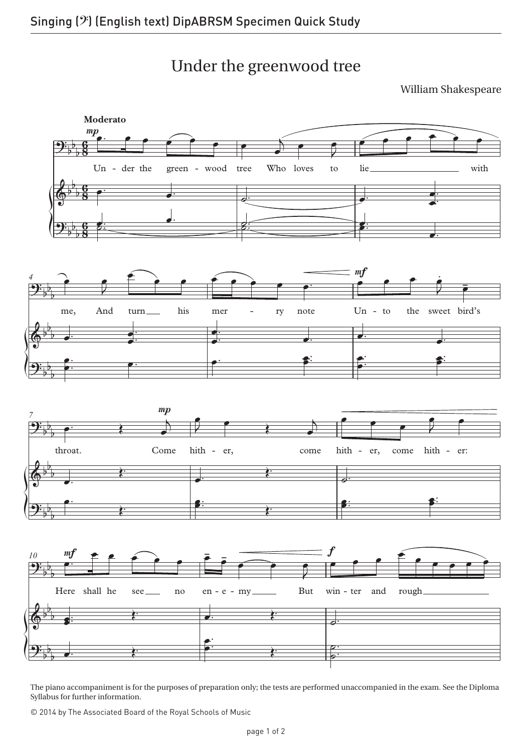Under the greenwood tree

William Shakespeare



The piano accompaniment is for the purposes of preparation only; the tests are performed unaccompanied in the exam. See the Diploma Syllabus for further information.

© 2014 by The Associated Board of the Royal Schools of Music